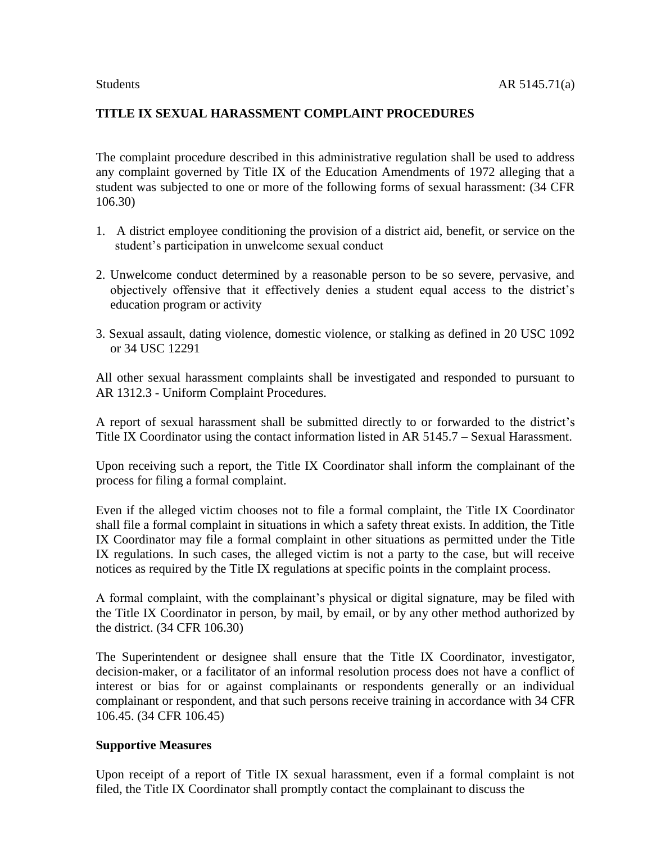# **TITLE IX SEXUAL HARASSMENT COMPLAINT PROCEDURES**

The complaint procedure described in this administrative regulation shall be used to address any complaint governed by Title IX of the Education Amendments of 1972 alleging that a student was subjected to one or more of the following forms of sexual harassment: (34 CFR 106.30)

- 1. A district employee conditioning the provision of a district aid, benefit, or service on the student's participation in unwelcome sexual conduct
- 2. Unwelcome conduct determined by a reasonable person to be so severe, pervasive, and objectively offensive that it effectively denies a student equal access to the district's education program or activity
- 3. Sexual assault, dating violence, domestic violence, or stalking as defined in 20 USC 1092 or 34 USC 12291

All other sexual harassment complaints shall be investigated and responded to pursuant to AR 1312.3 - Uniform Complaint Procedures.

A report of sexual harassment shall be submitted directly to or forwarded to the district's Title IX Coordinator using the contact information listed in AR 5145.7 – Sexual Harassment.

Upon receiving such a report, the Title IX Coordinator shall inform the complainant of the process for filing a formal complaint.

Even if the alleged victim chooses not to file a formal complaint, the Title IX Coordinator shall file a formal complaint in situations in which a safety threat exists. In addition, the Title IX Coordinator may file a formal complaint in other situations as permitted under the Title IX regulations. In such cases, the alleged victim is not a party to the case, but will receive notices as required by the Title IX regulations at specific points in the complaint process.

A formal complaint, with the complainant's physical or digital signature, may be filed with the Title IX Coordinator in person, by mail, by email, or by any other method authorized by the district. (34 CFR 106.30)

The Superintendent or designee shall ensure that the Title IX Coordinator, investigator, decision-maker, or a facilitator of an informal resolution process does not have a conflict of interest or bias for or against complainants or respondents generally or an individual complainant or respondent, and that such persons receive training in accordance with 34 CFR 106.45. (34 CFR 106.45)

### **Supportive Measures**

Upon receipt of a report of Title IX sexual harassment, even if a formal complaint is not filed, the Title IX Coordinator shall promptly contact the complainant to discuss the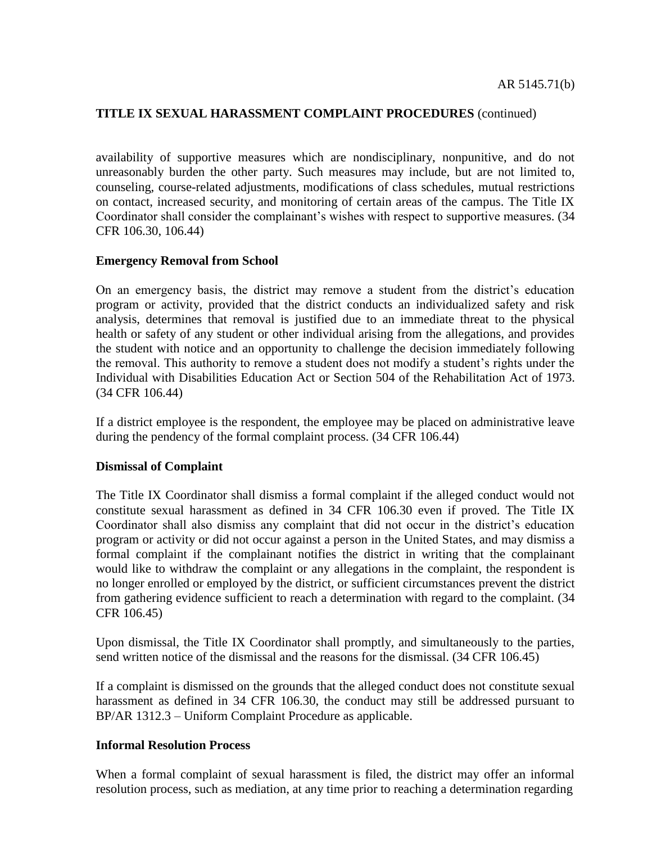availability of supportive measures which are nondisciplinary, nonpunitive, and do not unreasonably burden the other party. Such measures may include, but are not limited to, counseling, course-related adjustments, modifications of class schedules, mutual restrictions on contact, increased security, and monitoring of certain areas of the campus. The Title IX Coordinator shall consider the complainant's wishes with respect to supportive measures. (34 CFR 106.30, 106.44)

### **Emergency Removal from School**

On an emergency basis, the district may remove a student from the district's education program or activity, provided that the district conducts an individualized safety and risk analysis, determines that removal is justified due to an immediate threat to the physical health or safety of any student or other individual arising from the allegations, and provides the student with notice and an opportunity to challenge the decision immediately following the removal. This authority to remove a student does not modify a student's rights under the Individual with Disabilities Education Act or Section 504 of the Rehabilitation Act of 1973. (34 CFR 106.44)

If a district employee is the respondent, the employee may be placed on administrative leave during the pendency of the formal complaint process. (34 CFR 106.44)

### **Dismissal of Complaint**

The Title IX Coordinator shall dismiss a formal complaint if the alleged conduct would not constitute sexual harassment as defined in 34 CFR 106.30 even if proved. The Title IX Coordinator shall also dismiss any complaint that did not occur in the district's education program or activity or did not occur against a person in the United States, and may dismiss a formal complaint if the complainant notifies the district in writing that the complainant would like to withdraw the complaint or any allegations in the complaint, the respondent is no longer enrolled or employed by the district, or sufficient circumstances prevent the district from gathering evidence sufficient to reach a determination with regard to the complaint. (34 CFR 106.45)

Upon dismissal, the Title IX Coordinator shall promptly, and simultaneously to the parties, send written notice of the dismissal and the reasons for the dismissal. (34 CFR 106.45)

If a complaint is dismissed on the grounds that the alleged conduct does not constitute sexual harassment as defined in 34 CFR 106.30, the conduct may still be addressed pursuant to BP/AR 1312.3 – Uniform Complaint Procedure as applicable.

### **Informal Resolution Process**

When a formal complaint of sexual harassment is filed, the district may offer an informal resolution process, such as mediation, at any time prior to reaching a determination regarding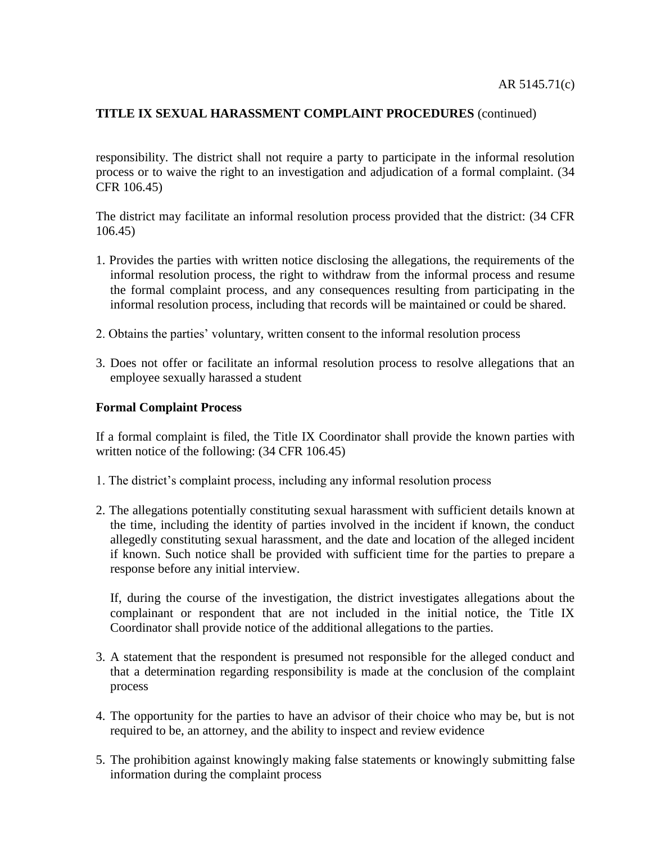responsibility. The district shall not require a party to participate in the informal resolution process or to waive the right to an investigation and adjudication of a formal complaint. (34 CFR 106.45)

The district may facilitate an informal resolution process provided that the district: (34 CFR 106.45)

- 1. Provides the parties with written notice disclosing the allegations, the requirements of the informal resolution process, the right to withdraw from the informal process and resume the formal complaint process, and any consequences resulting from participating in the informal resolution process, including that records will be maintained or could be shared.
- 2. Obtains the parties' voluntary, written consent to the informal resolution process
- 3. Does not offer or facilitate an informal resolution process to resolve allegations that an employee sexually harassed a student

#### **Formal Complaint Process**

If a formal complaint is filed, the Title IX Coordinator shall provide the known parties with written notice of the following: (34 CFR 106.45)

- 1. The district's complaint process, including any informal resolution process
- 2. The allegations potentially constituting sexual harassment with sufficient details known at the time, including the identity of parties involved in the incident if known, the conduct allegedly constituting sexual harassment, and the date and location of the alleged incident if known. Such notice shall be provided with sufficient time for the parties to prepare a response before any initial interview.

If, during the course of the investigation, the district investigates allegations about the complainant or respondent that are not included in the initial notice, the Title IX Coordinator shall provide notice of the additional allegations to the parties.

- 3. A statement that the respondent is presumed not responsible for the alleged conduct and that a determination regarding responsibility is made at the conclusion of the complaint process
- 4. The opportunity for the parties to have an advisor of their choice who may be, but is not required to be, an attorney, and the ability to inspect and review evidence
- 5. The prohibition against knowingly making false statements or knowingly submitting false information during the complaint process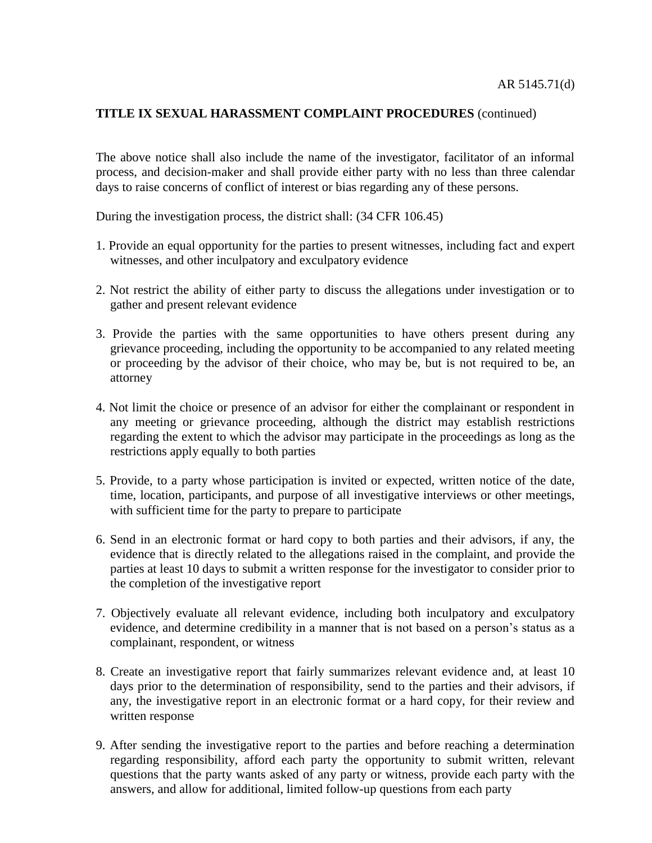The above notice shall also include the name of the investigator, facilitator of an informal process, and decision-maker and shall provide either party with no less than three calendar days to raise concerns of conflict of interest or bias regarding any of these persons.

During the investigation process, the district shall: (34 CFR 106.45)

- 1. Provide an equal opportunity for the parties to present witnesses, including fact and expert witnesses, and other inculpatory and exculpatory evidence
- 2. Not restrict the ability of either party to discuss the allegations under investigation or to gather and present relevant evidence
- 3. Provide the parties with the same opportunities to have others present during any grievance proceeding, including the opportunity to be accompanied to any related meeting or proceeding by the advisor of their choice, who may be, but is not required to be, an attorney
- 4. Not limit the choice or presence of an advisor for either the complainant or respondent in any meeting or grievance proceeding, although the district may establish restrictions regarding the extent to which the advisor may participate in the proceedings as long as the restrictions apply equally to both parties
- 5. Provide, to a party whose participation is invited or expected, written notice of the date, time, location, participants, and purpose of all investigative interviews or other meetings, with sufficient time for the party to prepare to participate
- 6. Send in an electronic format or hard copy to both parties and their advisors, if any, the evidence that is directly related to the allegations raised in the complaint, and provide the parties at least 10 days to submit a written response for the investigator to consider prior to the completion of the investigative report
- 7. Objectively evaluate all relevant evidence, including both inculpatory and exculpatory evidence, and determine credibility in a manner that is not based on a person's status as a complainant, respondent, or witness
- 8. Create an investigative report that fairly summarizes relevant evidence and, at least 10 days prior to the determination of responsibility, send to the parties and their advisors, if any, the investigative report in an electronic format or a hard copy, for their review and written response
- 9. After sending the investigative report to the parties and before reaching a determination regarding responsibility, afford each party the opportunity to submit written, relevant questions that the party wants asked of any party or witness, provide each party with the answers, and allow for additional, limited follow-up questions from each party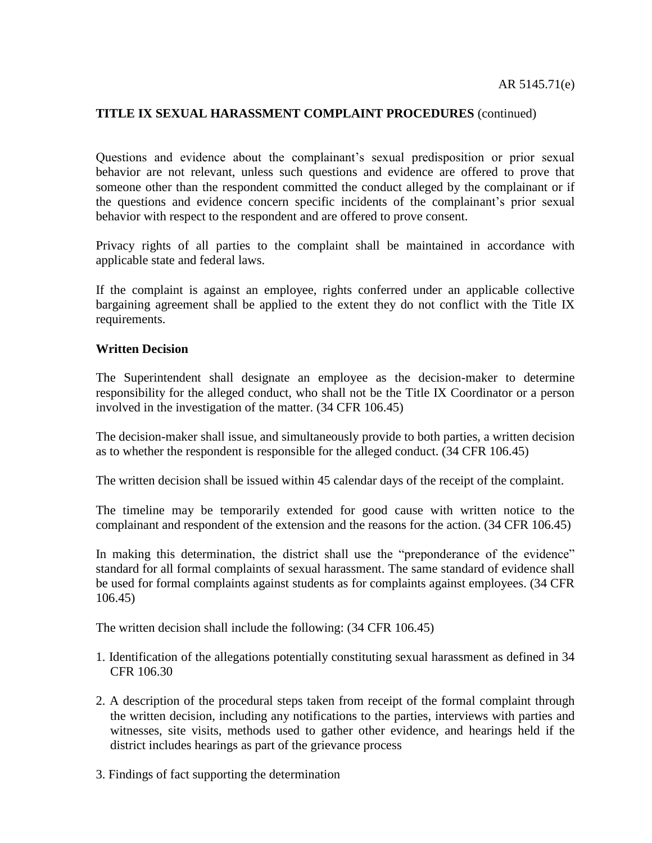Questions and evidence about the complainant's sexual predisposition or prior sexual behavior are not relevant, unless such questions and evidence are offered to prove that someone other than the respondent committed the conduct alleged by the complainant or if the questions and evidence concern specific incidents of the complainant's prior sexual behavior with respect to the respondent and are offered to prove consent.

Privacy rights of all parties to the complaint shall be maintained in accordance with applicable state and federal laws.

If the complaint is against an employee, rights conferred under an applicable collective bargaining agreement shall be applied to the extent they do not conflict with the Title IX requirements.

#### **Written Decision**

The Superintendent shall designate an employee as the decision-maker to determine responsibility for the alleged conduct, who shall not be the Title IX Coordinator or a person involved in the investigation of the matter. (34 CFR 106.45)

The decision-maker shall issue, and simultaneously provide to both parties, a written decision as to whether the respondent is responsible for the alleged conduct. (34 CFR 106.45)

The written decision shall be issued within 45 calendar days of the receipt of the complaint.

The timeline may be temporarily extended for good cause with written notice to the complainant and respondent of the extension and the reasons for the action. (34 CFR 106.45)

In making this determination, the district shall use the "preponderance of the evidence" standard for all formal complaints of sexual harassment. The same standard of evidence shall be used for formal complaints against students as for complaints against employees. (34 CFR 106.45)

The written decision shall include the following: (34 CFR 106.45)

- 1. Identification of the allegations potentially constituting sexual harassment as defined in 34 CFR 106.30
- 2. A description of the procedural steps taken from receipt of the formal complaint through the written decision, including any notifications to the parties, interviews with parties and witnesses, site visits, methods used to gather other evidence, and hearings held if the district includes hearings as part of the grievance process
- 3. Findings of fact supporting the determination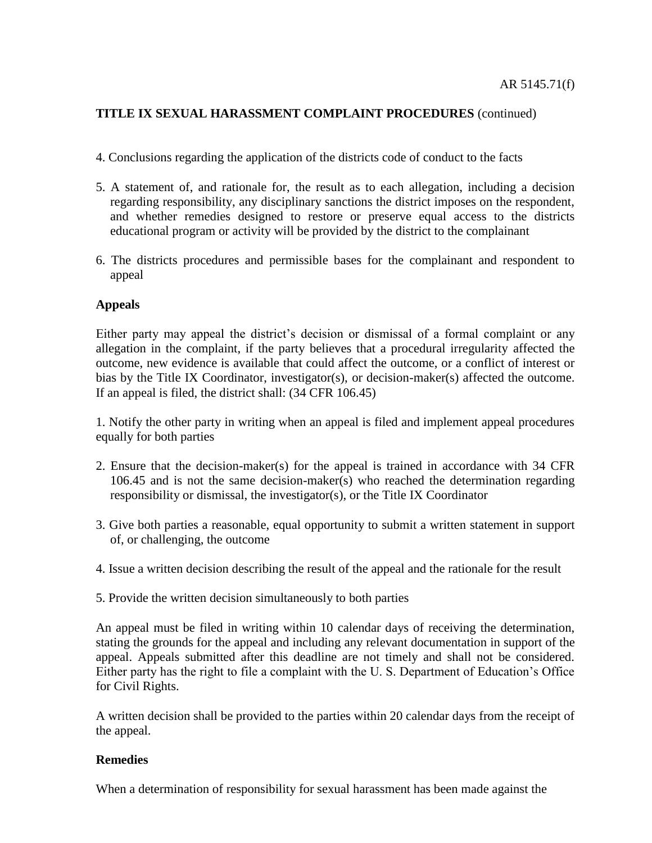- 4. Conclusions regarding the application of the districts code of conduct to the facts
- 5. A statement of, and rationale for, the result as to each allegation, including a decision regarding responsibility, any disciplinary sanctions the district imposes on the respondent, and whether remedies designed to restore or preserve equal access to the districts educational program or activity will be provided by the district to the complainant
- 6. The districts procedures and permissible bases for the complainant and respondent to appeal

### **Appeals**

Either party may appeal the district's decision or dismissal of a formal complaint or any allegation in the complaint, if the party believes that a procedural irregularity affected the outcome, new evidence is available that could affect the outcome, or a conflict of interest or bias by the Title IX Coordinator, investigator(s), or decision-maker(s) affected the outcome. If an appeal is filed, the district shall: (34 CFR 106.45)

1. Notify the other party in writing when an appeal is filed and implement appeal procedures equally for both parties

- 2. Ensure that the decision-maker(s) for the appeal is trained in accordance with 34 CFR 106.45 and is not the same decision-maker(s) who reached the determination regarding responsibility or dismissal, the investigator(s), or the Title IX Coordinator
- 3. Give both parties a reasonable, equal opportunity to submit a written statement in support of, or challenging, the outcome
- 4. Issue a written decision describing the result of the appeal and the rationale for the result
- 5. Provide the written decision simultaneously to both parties

An appeal must be filed in writing within 10 calendar days of receiving the determination, stating the grounds for the appeal and including any relevant documentation in support of the appeal. Appeals submitted after this deadline are not timely and shall not be considered. Either party has the right to file a complaint with the U. S. Department of Education's Office for Civil Rights.

A written decision shall be provided to the parties within 20 calendar days from the receipt of the appeal.

### **Remedies**

When a determination of responsibility for sexual harassment has been made against the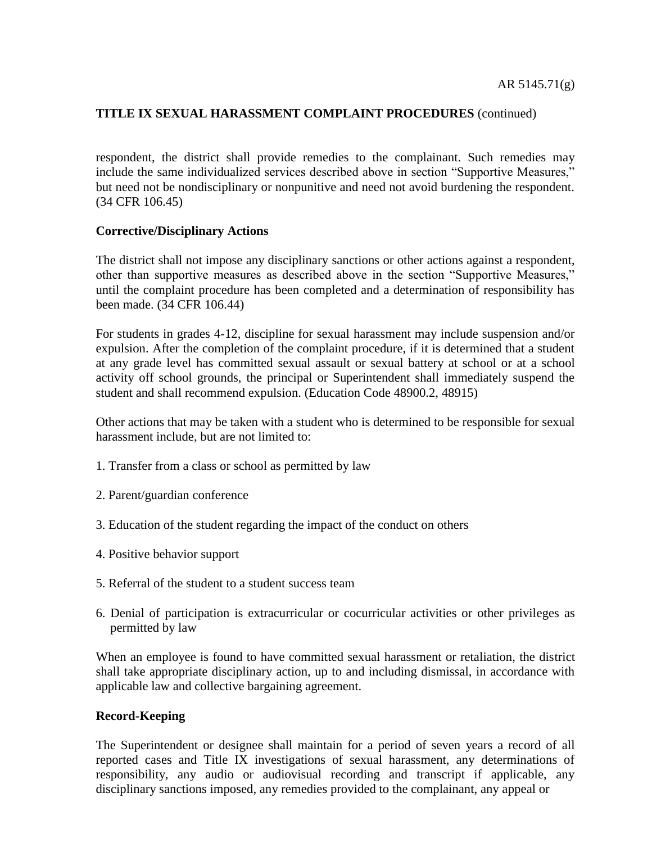respondent, the district shall provide remedies to the complainant. Such remedies may include the same individualized services described above in section "Supportive Measures," but need not be nondisciplinary or nonpunitive and need not avoid burdening the respondent. (34 CFR 106.45)

### **Corrective/Disciplinary Actions**

The district shall not impose any disciplinary sanctions or other actions against a respondent, other than supportive measures as described above in the section "Supportive Measures," until the complaint procedure has been completed and a determination of responsibility has been made. (34 CFR 106.44)

For students in grades 4-12, discipline for sexual harassment may include suspension and/or expulsion. After the completion of the complaint procedure, if it is determined that a student at any grade level has committed sexual assault or sexual battery at school or at a school activity off school grounds, the principal or Superintendent shall immediately suspend the student and shall recommend expulsion. (Education Code 48900.2, 48915)

Other actions that may be taken with a student who is determined to be responsible for sexual harassment include, but are not limited to:

- 1. Transfer from a class or school as permitted by law
- 2. Parent/guardian conference
- 3. Education of the student regarding the impact of the conduct on others
- 4. Positive behavior support
- 5. Referral of the student to a student success team
- 6. Denial of participation is extracurricular or cocurricular activities or other privileges as permitted by law

When an employee is found to have committed sexual harassment or retaliation, the district shall take appropriate disciplinary action, up to and including dismissal, in accordance with applicable law and collective bargaining agreement.

### **Record-Keeping**

The Superintendent or designee shall maintain for a period of seven years a record of all reported cases and Title IX investigations of sexual harassment, any determinations of responsibility, any audio or audiovisual recording and transcript if applicable, any disciplinary sanctions imposed, any remedies provided to the complainant, any appeal or